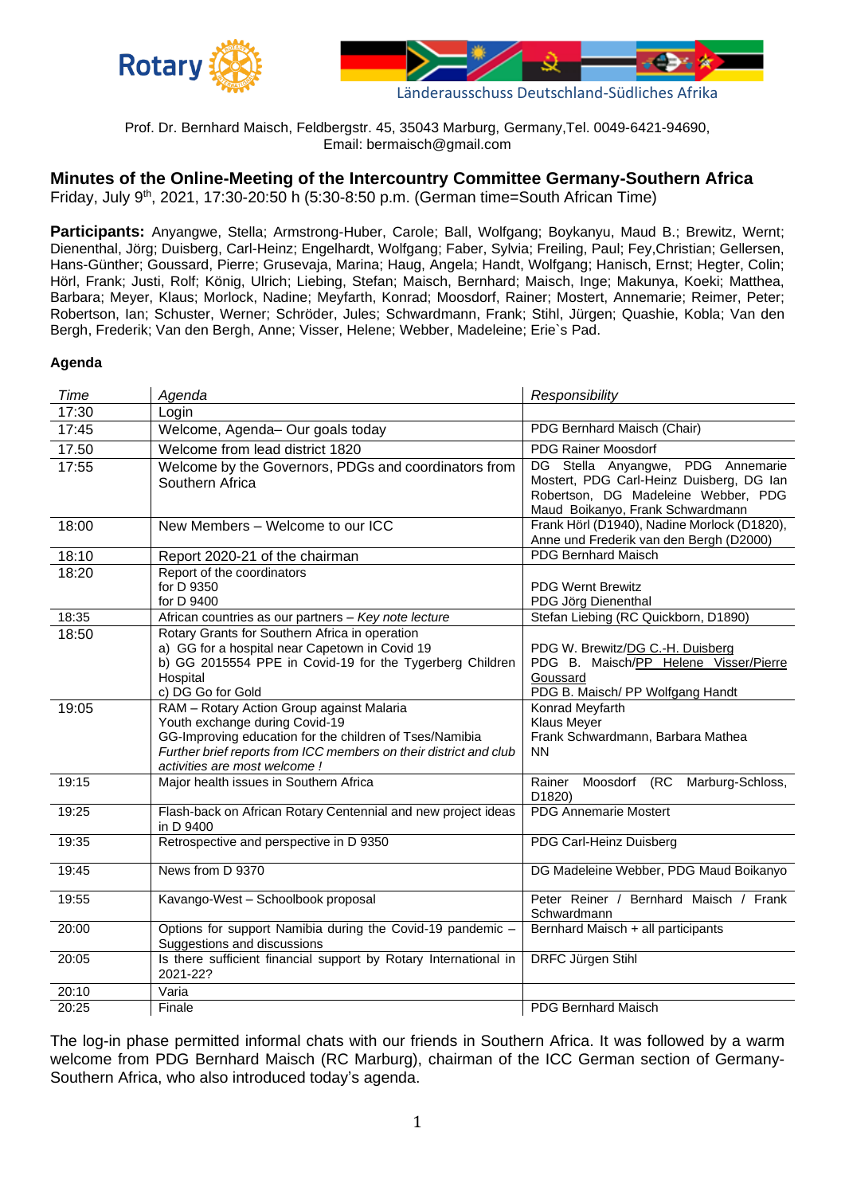



Prof. Dr. Bernhard Maisch, Feldbergstr. 45, 35043 Marburg, Germany,Tel. 0049-6421-94690, Email: bermaisch@gmail.com

# **Minutes of the Online-Meeting of the Intercountry Committee Germany-Southern Africa**

Friday, July 9<sup>th</sup>, 2021, 17:30-20:50 h (5:30-8:50 p.m. (German time=South African Time)

Participants: Anyangwe, Stella; Armstrong-Huber, Carole; Ball, Wolfgang; Boykanyu, Maud B.; Brewitz, Wernt; Dienenthal, Jörg; Duisberg, Carl-Heinz; Engelhardt, Wolfgang; Faber, Sylvia; Freiling, Paul; Fey,Christian; Gellersen, Hans-Günther; Goussard, Pierre; Grusevaja, Marina; Haug, Angela; Handt, Wolfgang; Hanisch, Ernst; Hegter, Colin; Hörl, Frank; Justi, Rolf; König, Ulrich; Liebing, Stefan; Maisch, Bernhard; Maisch, Inge; Makunya, Koeki; Matthea, Barbara; Meyer, Klaus; Morlock, Nadine; Meyfarth, Konrad; Moosdorf, Rainer; Mostert, Annemarie; Reimer, Peter; Robertson, Ian; Schuster, Werner; Schröder, Jules; Schwardmann, Frank; Stihl, Jürgen; Quashie, Kobla; Van den Bergh, Frederik; Van den Bergh, Anne; Visser, Helene; Webber, Madeleine; Erie`s Pad.

#### **Agenda**

| Time  | Agenda                                                                                                                                                                                                                                       | Responsibility                                                                                                                                           |
|-------|----------------------------------------------------------------------------------------------------------------------------------------------------------------------------------------------------------------------------------------------|----------------------------------------------------------------------------------------------------------------------------------------------------------|
| 17:30 | Login                                                                                                                                                                                                                                        |                                                                                                                                                          |
| 17:45 | Welcome, Agenda- Our goals today                                                                                                                                                                                                             | PDG Bernhard Maisch (Chair)                                                                                                                              |
| 17.50 | Welcome from lead district 1820                                                                                                                                                                                                              | <b>PDG Rainer Moosdorf</b>                                                                                                                               |
| 17:55 | Welcome by the Governors, PDGs and coordinators from<br>Southern Africa                                                                                                                                                                      | DG Stella Anyangwe, PDG Annemarie<br>Mostert, PDG Carl-Heinz Duisberg, DG Ian<br>Robertson, DG Madeleine Webber, PDG<br>Maud Boikanyo, Frank Schwardmann |
| 18:00 | New Members - Welcome to our ICC                                                                                                                                                                                                             | Frank Hörl (D1940), Nadine Morlock (D1820),<br>Anne und Frederik van den Bergh (D2000)                                                                   |
| 18:10 | Report 2020-21 of the chairman                                                                                                                                                                                                               | <b>PDG Bernhard Maisch</b>                                                                                                                               |
| 18:20 | Report of the coordinators<br>for D 9350<br>for D 9400                                                                                                                                                                                       | <b>PDG Wernt Brewitz</b><br>PDG Jörg Dienenthal                                                                                                          |
| 18:35 | African countries as our partners - Key note lecture                                                                                                                                                                                         | Stefan Liebing (RC Quickborn, D1890)                                                                                                                     |
| 18:50 | Rotary Grants for Southern Africa in operation<br>a) GG for a hospital near Capetown in Covid 19<br>b) GG 2015554 PPE in Covid-19 for the Tygerberg Children<br>Hospital<br>c) DG Go for Gold                                                | PDG W. Brewitz/DG C.-H. Duisberg<br>PDG B. Maisch/PP Helene Visser/Pierre<br>Goussard<br>PDG B. Maisch/ PP Wolfgang Handt                                |
| 19:05 | RAM - Rotary Action Group against Malaria<br>Youth exchange during Covid-19<br>GG-Improving education for the children of Tses/Namibia<br>Further brief reports from ICC members on their district and club<br>activities are most welcome ! | Konrad Meyfarth<br><b>Klaus Meyer</b><br>Frank Schwardmann, Barbara Mathea<br><b>NN</b>                                                                  |
| 19:15 | Major health issues in Southern Africa                                                                                                                                                                                                       | Rainer<br>Moosdorf (RC<br>Marburg-Schloss,<br>D1820)                                                                                                     |
| 19:25 | Flash-back on African Rotary Centennial and new project ideas<br>in D 9400                                                                                                                                                                   | <b>PDG Annemarie Mostert</b>                                                                                                                             |
| 19:35 | Retrospective and perspective in D 9350                                                                                                                                                                                                      | PDG Carl-Heinz Duisberg                                                                                                                                  |
| 19:45 | News from D 9370                                                                                                                                                                                                                             | DG Madeleine Webber, PDG Maud Boikanyo                                                                                                                   |
| 19:55 | Kavango-West - Schoolbook proposal                                                                                                                                                                                                           | Peter Reiner / Bernhard Maisch / Frank<br>Schwardmann                                                                                                    |
| 20:00 | Options for support Namibia during the Covid-19 pandemic -<br>Suggestions and discussions                                                                                                                                                    | Bernhard Maisch + all participants                                                                                                                       |
| 20:05 | Is there sufficient financial support by Rotary International in<br>2021-22?                                                                                                                                                                 | DRFC Jürgen Stihl                                                                                                                                        |
| 20:10 | Varia                                                                                                                                                                                                                                        |                                                                                                                                                          |
| 20:25 | Finale                                                                                                                                                                                                                                       | <b>PDG Bernhard Maisch</b>                                                                                                                               |

The log-in phase permitted informal chats with our friends in Southern Africa. It was followed by a warm welcome from PDG Bernhard Maisch (RC Marburg), chairman of the ICC German section of Germany-Southern Africa, who also introduced today's agenda.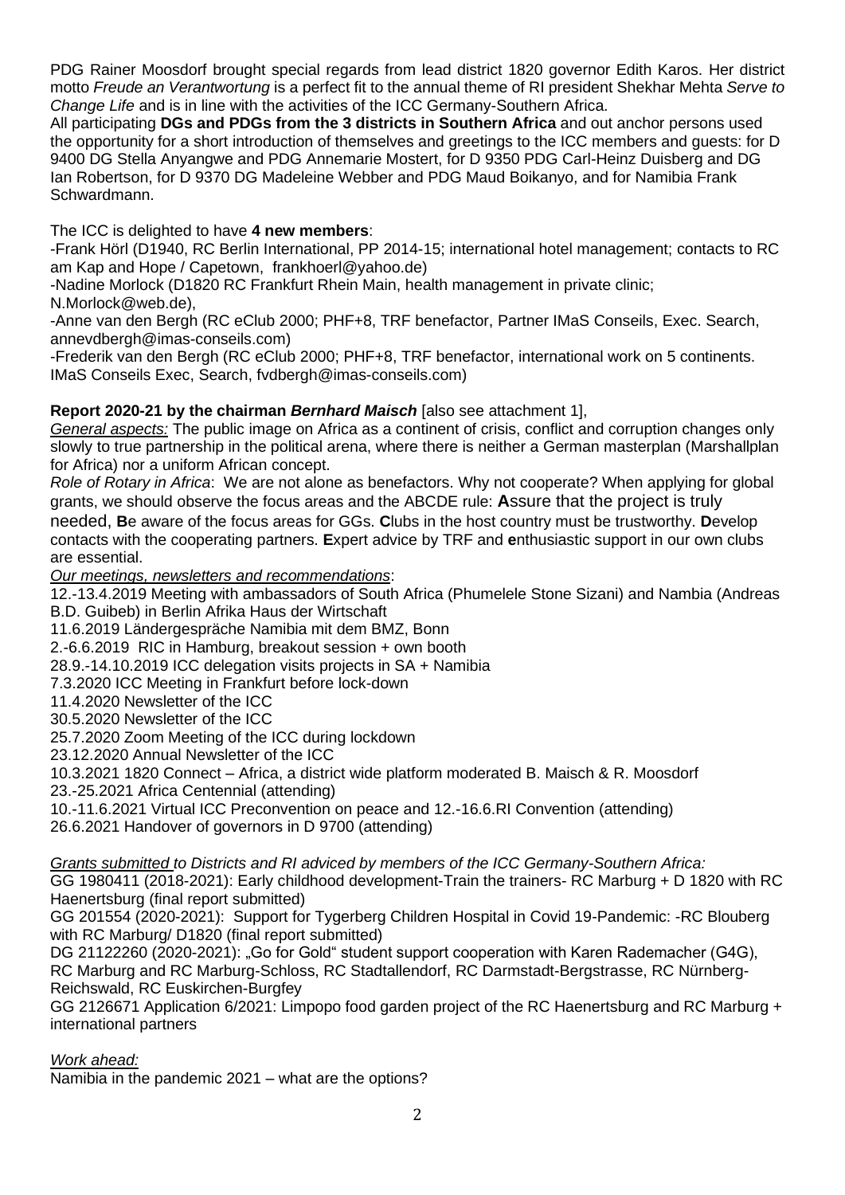PDG Rainer Moosdorf brought special regards from lead district 1820 governor Edith Karos. Her district motto *Freude an Verantwortung* is a perfect fit to the annual theme of RI president Shekhar Mehta *Serve to Change Life* and is in line with the activities of the ICC Germany-Southern Africa.

All participating **DGs and PDGs from the 3 districts in Southern Africa** and out anchor persons used the opportunity for a short introduction of themselves and greetings to the ICC members and guests: for D 9400 DG Stella Anyangwe and PDG Annemarie Mostert, for D 9350 PDG Carl-Heinz Duisberg and DG Ian Robertson, for D 9370 DG Madeleine Webber and PDG Maud Boikanyo, and for Namibia Frank Schwardmann.

The ICC is delighted to have **4 new members**:

-Frank Hörl (D1940, RC Berlin International, PP 2014-15; international hotel management; contacts to RC am Kap and Hope / Capetown, [frankhoerl@yahoo.de\)](mailto:frankhoerl@yahoo.de)

-Nadine Morlock (D1820 RC Frankfurt Rhein Main, health management in private clinic; N.Morlock@web.de),

-Anne van den Bergh (RC eClub 2000; PHF+8, TRF benefactor, Partner IMaS Conseils, Exec. Search, annevdbergh@imas-conseils.com)

-Frederik van den Bergh (RC eClub 2000; PHF+8, TRF benefactor, international work on 5 continents. IMaS Conseils Exec, Search, fvdbergh@imas-conseils.com)

# **Report 2020-21 by the chairman** *Bernhard Maisch* [also see attachment 1],

*General aspects:* The public image on Africa as a continent of crisis, conflict and corruption changes only slowly to true partnership in the political arena, where there is neither a German masterplan (Marshallplan for Africa) nor a uniform African concept.

*Role of Rotary in Africa*: We are not alone as benefactors. Why not cooperate? When applying for global grants, we should observe the focus areas and the ABCDE rule: **A**ssure that the project is truly needed, **B**e aware of the focus areas for GGs. **C**lubs in the host country must be trustworthy. **D**evelop contacts with the cooperating partners. **E**xpert advice by TRF and **e**nthusiastic support in our own clubs are essential.

*Our meetings, newsletters and recommendations*:

12.-13.4.2019 Meeting with ambassadors of South Africa (Phumelele Stone Sizani) and Nambia (Andreas B.D. Guibeb) in Berlin Afrika Haus der Wirtschaft

11.6.2019 Ländergespräche Namibia mit dem BMZ, Bonn

2.-6.6.2019 RIC in Hamburg, breakout session + own booth

28.9.-14.10.2019 ICC delegation visits projects in SA + Namibia

7.3.2020 ICC Meeting in Frankfurt before lock-down

11.4.2020 Newsletter of the ICC

30.5.2020 Newsletter of the ICC

25.7.2020 Zoom Meeting of the ICC during lockdown

23.12.2020 Annual Newsletter of the ICC

10.3.2021 1820 Connect – Africa, a district wide platform moderated B. Maisch & R. Moosdorf 23.-25.2021 Africa Centennial (attending)

10.-11.6.2021 Virtual ICC Preconvention on peace and 12.-16.6.RI Convention (attending) 26.6.2021 Handover of governors in D 9700 (attending)

*Grants submitted to Districts and RI adviced by members of the ICC Germany-Southern Africa:*

GG 1980411 (2018-2021): Early childhood development-Train the trainers- RC Marburg + D 1820 with RC Haenertsburg (final report submitted)

GG 201554 (2020-2021): Support for Tygerberg Children Hospital in Covid 19-Pandemic: -RC Blouberg with RC Marburg/ D1820 (final report submitted)

DG 21122260 (2020-2021): "Go for Gold" student support cooperation with Karen Rademacher (G4G), RC Marburg and RC Marburg-Schloss, RC Stadtallendorf, RC Darmstadt-Bergstrasse, RC Nürnberg-Reichswald, RC Euskirchen-Burgfey

GG 2126671 Application 6/2021: Limpopo food garden project of the RC Haenertsburg and RC Marburg + international partners

*Work ahead:*

Namibia in the pandemic 2021 – what are the options?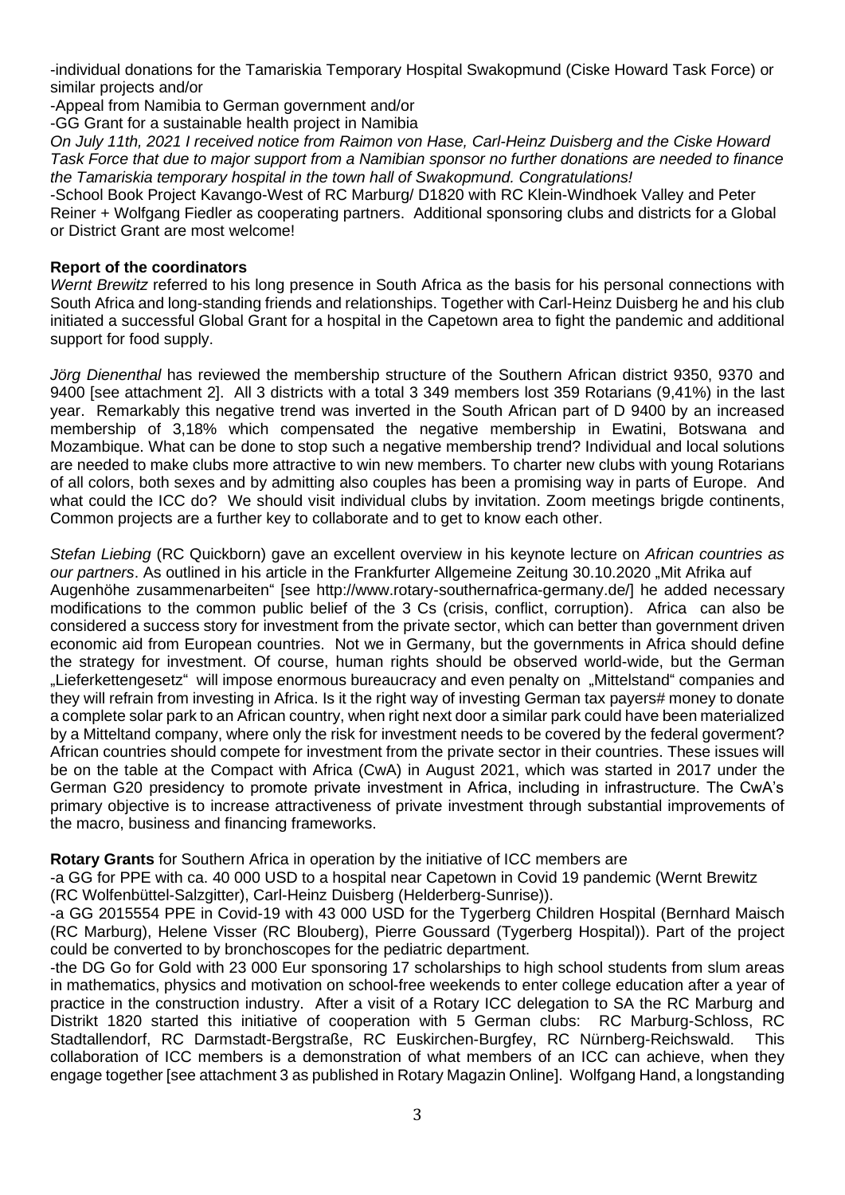-individual donations for the Tamariskia Temporary Hospital Swakopmund (Ciske Howard Task Force) or similar projects and/or

-Appeal from Namibia to German government and/or

-GG Grant for a sustainable health project in Namibia

*On July 11th, 2021 I received notice from Raimon von Hase, Carl-Heinz Duisberg and the Ciske Howard Task Force that due to major support from a Namibian sponsor no further donations are needed to finance the Tamariskia temporary hospital in the town hall of Swakopmund. Congratulations!*

-School Book Project Kavango-West of RC Marburg/ D1820 with RC Klein-Windhoek Valley and Peter Reiner + Wolfgang Fiedler as cooperating partners. Additional sponsoring clubs and districts for a Global or District Grant are most welcome!

### **Report of the coordinators**

*Wernt Brewitz* referred to his long presence in South Africa as the basis for his personal connections with South Africa and long-standing friends and relationships. Together with Carl-Heinz Duisberg he and his club initiated a successful Global Grant for a hospital in the Capetown area to fight the pandemic and additional support for food supply.

*Jörg Dienenthal* has reviewed the membership structure of the Southern African district 9350, 9370 and 9400 [see attachment 2]. All 3 districts with a total 3 349 members lost 359 Rotarians (9,41%) in the last year. Remarkably this negative trend was inverted in the South African part of D 9400 by an increased membership of 3,18% which compensated the negative membership in Ewatini, Botswana and Mozambique. What can be done to stop such a negative membership trend? Individual and local solutions are needed to make clubs more attractive to win new members. To charter new clubs with young Rotarians of all colors, both sexes and by admitting also couples has been a promising way in parts of Europe. And what could the ICC do? We should visit individual clubs by invitation. Zoom meetings brigde continents, Common projects are a further key to collaborate and to get to know each other.

*Stefan Liebing* (RC Quickborn) gave an excellent overview in his keynote lecture on *African countries as our partners*. As outlined in his article in the Frankfurter Allgemeine Zeitung 30.10.2020 "Mit Afrika auf Augenhöhe zusammenarbeiten" [see http://www.rotary-southernafrica-germany.de/] he added necessary modifications to the common public belief of the 3 Cs (crisis, conflict, corruption). Africa can also be considered a success story for investment from the private sector, which can better than government driven economic aid from European countries. Not we in Germany, but the governments in Africa should define the strategy for investment. Of course, human rights should be observed world-wide, but the German "Lieferkettengesetz" will impose enormous bureaucracy and even penalty on "Mittelstand" companies and they will refrain from investing in Africa. Is it the right way of investing German tax payers# money to donate a complete solar park to an African country, when right next door a similar park could have been materialized by a Mitteltand company, where only the risk for investment needs to be covered by the federal goverment? African countries should compete for investment from the private sector in their countries. These issues will be on the table at the Compact with Africa (CwA) in August 2021, which was started in 2017 under the German G20 presidency to promote private investment in Africa, including in infrastructure. The CwA's primary objective is to increase attractiveness of private investment through substantial improvements of the macro, business and financing frameworks.

## **Rotary Grants** for Southern Africa in operation by the initiative of ICC members are

-a GG for PPE with ca. 40 000 USD to a hospital near Capetown in Covid 19 pandemic (Wernt Brewitz (RC Wolfenbüttel-Salzgitter), Carl-Heinz Duisberg (Helderberg-Sunrise)).

-a GG 2015554 PPE in Covid-19 with 43 000 USD for the Tygerberg Children Hospital (Bernhard Maisch (RC Marburg), Helene Visser (RC Blouberg), Pierre Goussard (Tygerberg Hospital)). Part of the project could be converted to by bronchoscopes for the pediatric department.

-the DG Go for Gold with 23 000 Eur sponsoring 17 scholarships to high school students from slum areas in mathematics, physics and motivation on school-free weekends to enter college education after a year of practice in the construction industry. After a visit of a Rotary ICC delegation to SA the RC Marburg and Distrikt 1820 started this initiative of cooperation with 5 German clubs: RC Marburg-Schloss, RC Stadtallendorf, RC Darmstadt-Bergstraße, RC Euskirchen-Burgfey, RC Nürnberg-Reichswald. This collaboration of ICC members is a demonstration of what members of an ICC can achieve, when they engage together [see attachment 3 as published in Rotary Magazin Online]. Wolfgang Hand, a longstanding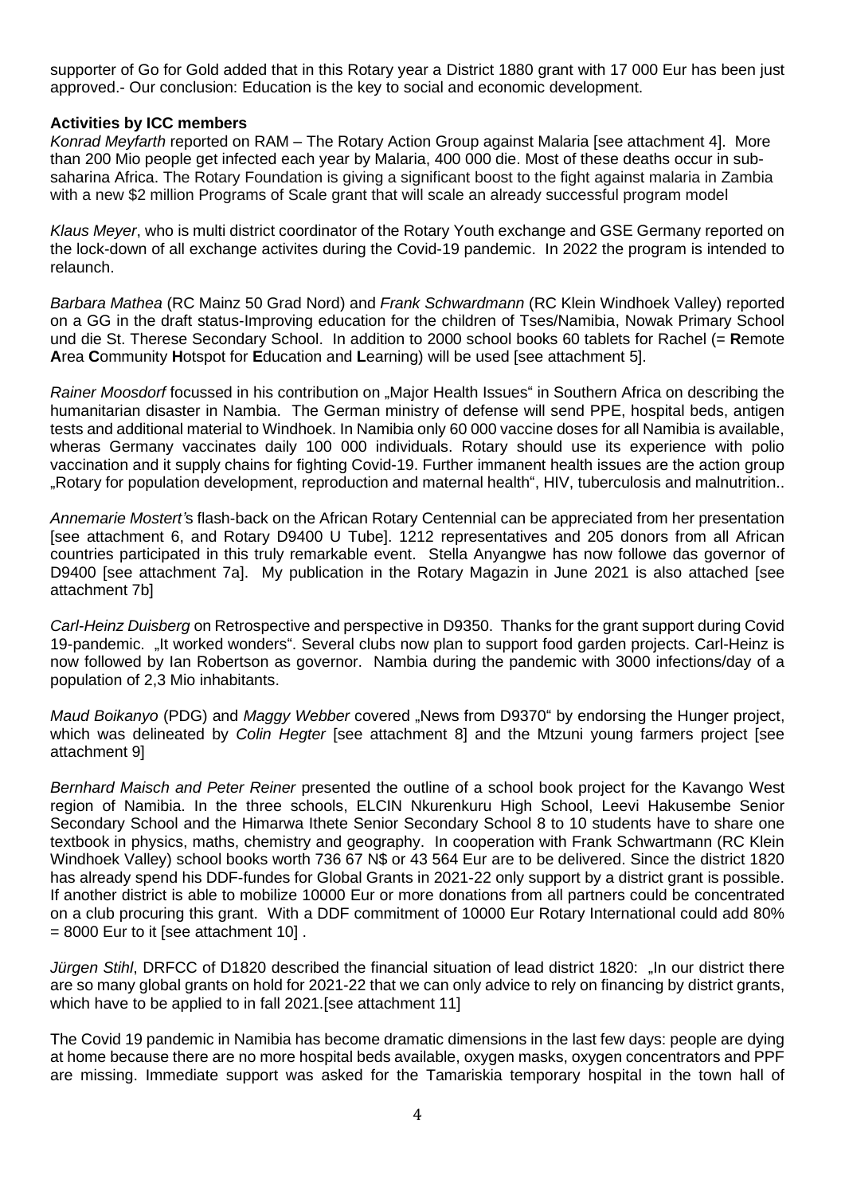supporter of Go for Gold added that in this Rotary year a District 1880 grant with 17 000 Eur has been just approved.- Our conclusion: Education is the key to social and economic development.

### **Activities by ICC members**

*Konrad Meyfarth* reported on RAM – The Rotary Action Group against Malaria [see attachment 4]. More than 200 Mio people get infected each year by Malaria, 400 000 die. Most of these deaths occur in subsaharina Africa. The Rotary Foundation is giving a significant boost to the fight against malaria in Zambia with a new \$2 million Programs of Scale grant that will scale an already successful program model

*Klaus Meyer*, who is multi district coordinator of the Rotary Youth exchange and GSE Germany reported on the lock-down of all exchange activites during the Covid-19 pandemic. In 2022 the program is intended to relaunch.

*Barbara Mathea* (RC Mainz 50 Grad Nord) and *Frank Schwardmann* (RC Klein Windhoek Valley) reported on a GG in the draft status-Improving education for the children of Tses/Namibia, Nowak Primary School und die St. Therese Secondary School. In addition to 2000 school books 60 tablets for Rachel (= **R**emote **A**rea **C**ommunity **H**otspot for **E**ducation and **L**earning) will be used [see attachment 5].

*Rainer Moosdorf* focussed in his contribution on "Major Health Issues" in Southern Africa on describing the humanitarian disaster in Nambia. The German ministry of defense will send PPE, hospital beds, antigen tests and additional material to Windhoek. In Namibia only 60 000 vaccine doses for all Namibia is available, wheras Germany vaccinates daily 100 000 individuals. Rotary should use its experience with polio vaccination and it supply chains for fighting Covid-19. Further immanent health issues are the action group "Rotary for population development, reproduction and maternal health", HIV, tuberculosis and malnutrition..

*Annemarie Mostert'*s flash-back on the African Rotary Centennial can be appreciated from her presentation [see attachment 6, and Rotary D9400 U Tube]. 1212 representatives and 205 donors from all African countries participated in this truly remarkable event. Stella Anyangwe has now followe das governor of D9400 [see attachment 7a]. My publication in the Rotary Magazin in June 2021 is also attached [see attachment 7b]

*Carl-Heinz Duisberg* on Retrospective and perspective in D9350. Thanks for the grant support during Covid 19-pandemic. "It worked wonders". Several clubs now plan to support food garden projects. Carl-Heinz is now followed by Ian Robertson as governor. Nambia during the pandemic with 3000 infections/day of a population of 2,3 Mio inhabitants.

*Maud Boikanyo* (PDG) and *Maggy Webber* covered "News from D9370" by endorsing the Hunger project, which was delineated by *Colin Hegter* [see attachment 8] and the Mtzuni young farmers project [see attachment 9]

*Bernhard Maisch and Peter Reiner* presented the outline of a school book project for the Kavango West region of Namibia. In the three schools, ELCIN Nkurenkuru High School, Leevi Hakusembe Senior Secondary School and the Himarwa Ithete Senior Secondary School 8 to 10 students have to share one textbook in physics, maths, chemistry and geography. In cooperation with Frank Schwartmann (RC Klein Windhoek Valley) school books worth 736 67 N\$ or 43 564 Eur are to be delivered. Since the district 1820 has already spend his DDF-fundes for Global Grants in 2021-22 only support by a district grant is possible. If another district is able to mobilize 10000 Eur or more donations from all partners could be concentrated on a club procuring this grant. With a DDF commitment of 10000 Eur Rotary International could add 80%  $= 8000$  Eur to it [see attachment 10].

*Jürgen Stihl*, DRFCC of D1820 described the financial situation of lead district 1820: "In our district there are so many global grants on hold for 2021-22 that we can only advice to rely on financing by district grants, which have to be applied to in fall 2021.[see attachment 11]

The Covid 19 pandemic in Namibia has become dramatic dimensions in the last few days: people are dying at home because there are no more hospital beds available, oxygen masks, oxygen concentrators and PPF are missing. Immediate support was asked for the Tamariskia temporary hospital in the town hall of